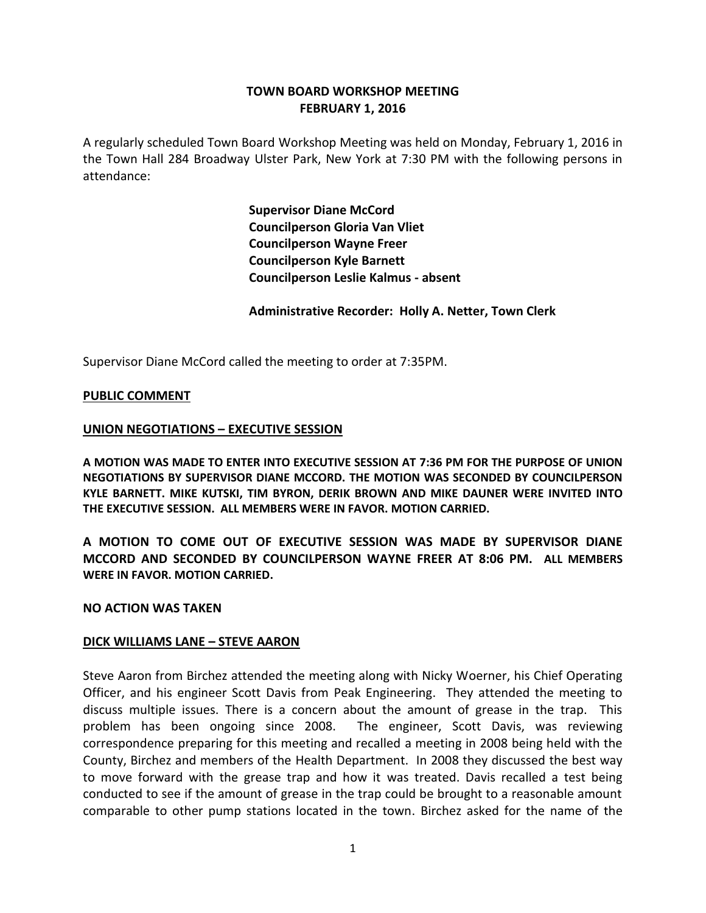# **TOWN BOARD WORKSHOP MEETING FEBRUARY 1, 2016**

A regularly scheduled Town Board Workshop Meeting was held on Monday, February 1, 2016 in the Town Hall 284 Broadway Ulster Park, New York at 7:30 PM with the following persons in attendance:

> **Supervisor Diane McCord Councilperson Gloria Van Vliet Councilperson Wayne Freer Councilperson Kyle Barnett Councilperson Leslie Kalmus - absent**

**Administrative Recorder: Holly A. Netter, Town Clerk**

Supervisor Diane McCord called the meeting to order at 7:35PM.

### **PUBLIC COMMENT**

### **UNION NEGOTIATIONS – EXECUTIVE SESSION**

**A MOTION WAS MADE TO ENTER INTO EXECUTIVE SESSION AT 7:36 PM FOR THE PURPOSE OF UNION NEGOTIATIONS BY SUPERVISOR DIANE MCCORD. THE MOTION WAS SECONDED BY COUNCILPERSON KYLE BARNETT. MIKE KUTSKI, TIM BYRON, DERIK BROWN AND MIKE DAUNER WERE INVITED INTO THE EXECUTIVE SESSION. ALL MEMBERS WERE IN FAVOR. MOTION CARRIED.**

**A MOTION TO COME OUT OF EXECUTIVE SESSION WAS MADE BY SUPERVISOR DIANE MCCORD AND SECONDED BY COUNCILPERSON WAYNE FREER AT 8:06 PM. ALL MEMBERS WERE IN FAVOR. MOTION CARRIED.**

### **NO ACTION WAS TAKEN**

### **DICK WILLIAMS LANE – STEVE AARON**

Steve Aaron from Birchez attended the meeting along with Nicky Woerner, his Chief Operating Officer, and his engineer Scott Davis from Peak Engineering. They attended the meeting to discuss multiple issues. There is a concern about the amount of grease in the trap. This problem has been ongoing since 2008. The engineer, Scott Davis, was reviewing correspondence preparing for this meeting and recalled a meeting in 2008 being held with the County, Birchez and members of the Health Department. In 2008 they discussed the best way to move forward with the grease trap and how it was treated. Davis recalled a test being conducted to see if the amount of grease in the trap could be brought to a reasonable amount comparable to other pump stations located in the town. Birchez asked for the name of the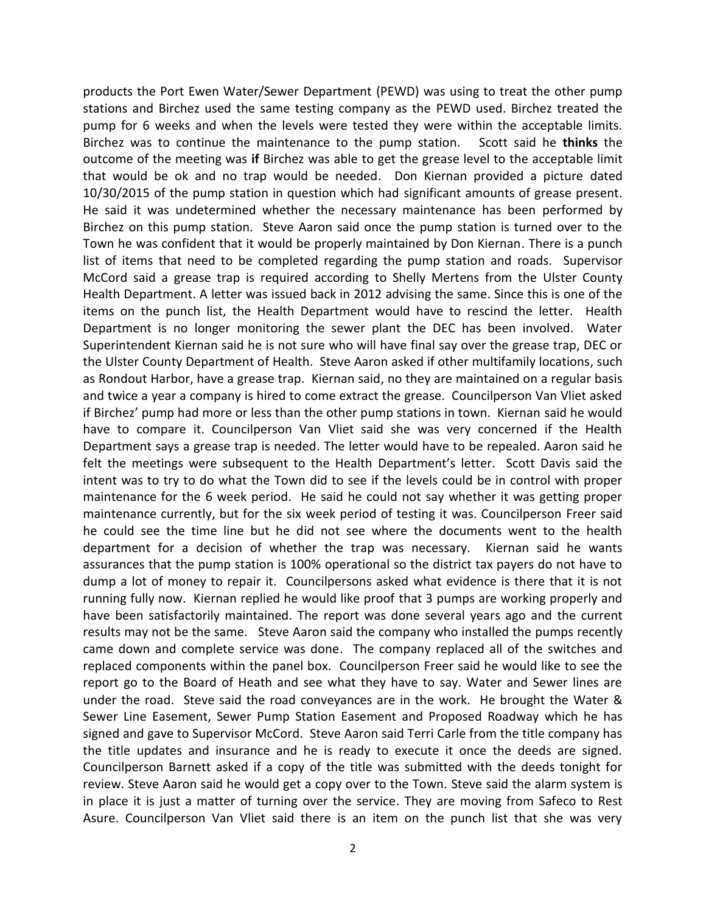products the Port Ewen Water/Sewer Department (PEWD) was using to treat the other pump stations and Birchez used the same testing company as the PEWD used. Birchez treated the pump for 6 weeks and when the levels were tested they were within the acceptable limits. Birchez was to continue the maintenance to the pump station. Scott said he **thinks** the outcome of the meeting was **if** Birchez was able to get the grease level to the acceptable limit that would be ok and no trap would be needed. Don Kiernan provided a picture dated 10/30/2015 of the pump station in question which had significant amounts of grease present. He said it was undetermined whether the necessary maintenance has been performed by Birchez on this pump station. Steve Aaron said once the pump station is turned over to the Town he was confident that it would be properly maintained by Don Kiernan. There is a punch list of items that need to be completed regarding the pump station and roads. Supervisor McCord said a grease trap is required according to Shelly Mertens from the Ulster County Health Department. A letter was issued back in 2012 advising the same. Since this is one of the items on the punch list, the Health Department would have to rescind the letter. Health Department is no longer monitoring the sewer plant the DEC has been involved. Water Superintendent Kiernan said he is not sure who will have final say over the grease trap, DEC or the Ulster County Department of Health. Steve Aaron asked if other multifamily locations, such as Rondout Harbor, have a grease trap. Kiernan said, no they are maintained on a regular basis and twice a year a company is hired to come extract the grease. Councilperson Van Vliet asked if Birchez' pump had more or less than the other pump stations in town. Kiernan said he would have to compare it. Councilperson Van Vliet said she was very concerned if the Health Department says a grease trap is needed. The letter would have to be repealed. Aaron said he felt the meetings were subsequent to the Health Department's letter. Scott Davis said the intent was to try to do what the Town did to see if the levels could be in control with proper maintenance for the 6 week period. He said he could not say whether it was getting proper maintenance currently, but for the six week period of testing it was. Councilperson Freer said he could see the time line but he did not see where the documents went to the health department for a decision of whether the trap was necessary. Kiernan said he wants assurances that the pump station is 100% operational so the district tax payers do not have to dump a lot of money to repair it. Councilpersons asked what evidence is there that it is not running fully now. Kiernan replied he would like proof that 3 pumps are working properly and have been satisfactorily maintained. The report was done several years ago and the current results may not be the same. Steve Aaron said the company who installed the pumps recently came down and complete service was done. The company replaced all of the switches and replaced components within the panel box. Councilperson Freer said he would like to see the report go to the Board of Heath and see what they have to say. Water and Sewer lines are under the road. Steve said the road conveyances are in the work. He brought the Water & Sewer Line Easement, Sewer Pump Station Easement and Proposed Roadway which he has signed and gave to Supervisor McCord. Steve Aaron said Terri Carle from the title company has the title updates and insurance and he is ready to execute it once the deeds are signed. Councilperson Barnett asked if a copy of the title was submitted with the deeds tonight for review. Steve Aaron said he would get a copy over to the Town. Steve said the alarm system is in place it is just a matter of turning over the service. They are moving from Safeco to Rest Asure. Councilperson Van Vliet said there is an item on the punch list that she was very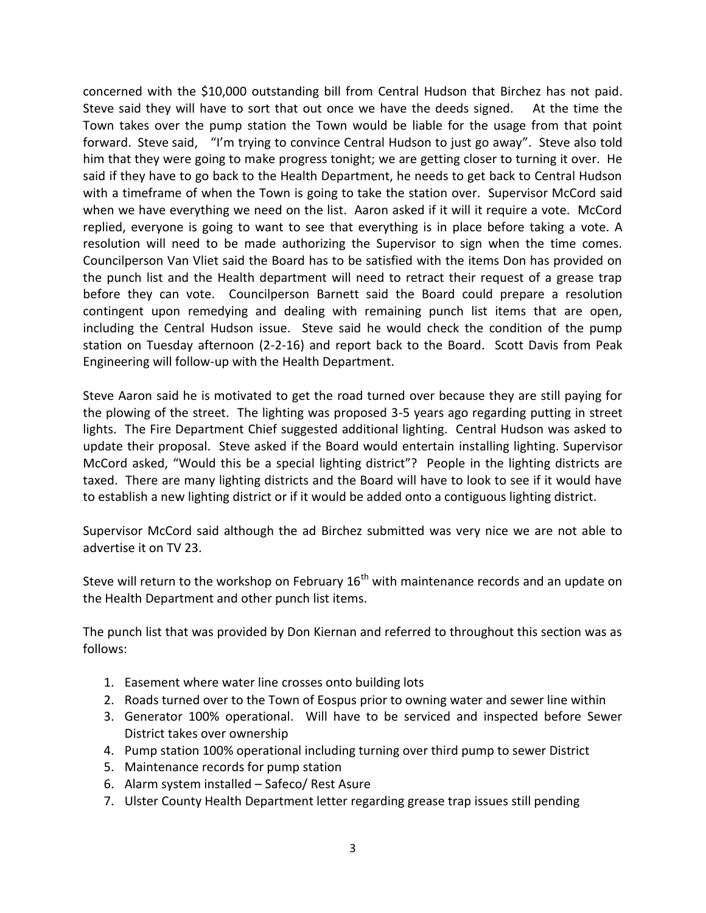concerned with the \$10,000 outstanding bill from Central Hudson that Birchez has not paid. Steve said they will have to sort that out once we have the deeds signed. At the time the Town takes over the pump station the Town would be liable for the usage from that point forward. Steve said, "I'm trying to convince Central Hudson to just go away". Steve also told him that they were going to make progress tonight; we are getting closer to turning it over. He said if they have to go back to the Health Department, he needs to get back to Central Hudson with a timeframe of when the Town is going to take the station over. Supervisor McCord said when we have everything we need on the list. Aaron asked if it will it require a vote. McCord replied, everyone is going to want to see that everything is in place before taking a vote. A resolution will need to be made authorizing the Supervisor to sign when the time comes. Councilperson Van Vliet said the Board has to be satisfied with the items Don has provided on the punch list and the Health department will need to retract their request of a grease trap before they can vote. Councilperson Barnett said the Board could prepare a resolution contingent upon remedying and dealing with remaining punch list items that are open, including the Central Hudson issue. Steve said he would check the condition of the pump station on Tuesday afternoon (2-2-16) and report back to the Board. Scott Davis from Peak Engineering will follow-up with the Health Department.

Steve Aaron said he is motivated to get the road turned over because they are still paying for the plowing of the street. The lighting was proposed 3-5 years ago regarding putting in street lights. The Fire Department Chief suggested additional lighting. Central Hudson was asked to update their proposal. Steve asked if the Board would entertain installing lighting. Supervisor McCord asked, "Would this be a special lighting district"? People in the lighting districts are taxed. There are many lighting districts and the Board will have to look to see if it would have to establish a new lighting district or if it would be added onto a contiguous lighting district.

Supervisor McCord said although the ad Birchez submitted was very nice we are not able to advertise it on TV 23.

Steve will return to the workshop on February 16<sup>th</sup> with maintenance records and an update on the Health Department and other punch list items.

The punch list that was provided by Don Kiernan and referred to throughout this section was as follows:

- 1. Easement where water line crosses onto building lots
- 2. Roads turned over to the Town of Eospus prior to owning water and sewer line within
- 3. Generator 100% operational. Will have to be serviced and inspected before Sewer District takes over ownership
- 4. Pump station 100% operational including turning over third pump to sewer District
- 5. Maintenance records for pump station
- 6. Alarm system installed Safeco/ Rest Asure
- 7. Ulster County Health Department letter regarding grease trap issues still pending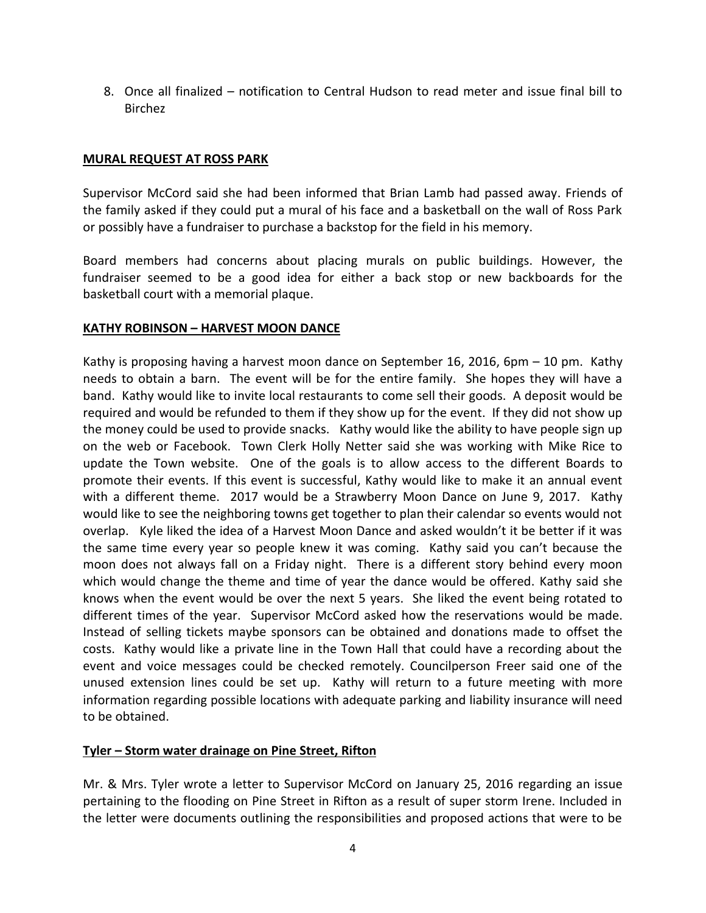8. Once all finalized – notification to Central Hudson to read meter and issue final bill to Birchez

### **MURAL REQUEST AT ROSS PARK**

Supervisor McCord said she had been informed that Brian Lamb had passed away. Friends of the family asked if they could put a mural of his face and a basketball on the wall of Ross Park or possibly have a fundraiser to purchase a backstop for the field in his memory.

Board members had concerns about placing murals on public buildings. However, the fundraiser seemed to be a good idea for either a back stop or new backboards for the basketball court with a memorial plaque.

# **KATHY ROBINSON – HARVEST MOON DANCE**

Kathy is proposing having a harvest moon dance on September 16, 2016, 6pm – 10 pm. Kathy needs to obtain a barn. The event will be for the entire family. She hopes they will have a band. Kathy would like to invite local restaurants to come sell their goods. A deposit would be required and would be refunded to them if they show up for the event. If they did not show up the money could be used to provide snacks. Kathy would like the ability to have people sign up on the web or Facebook. Town Clerk Holly Netter said she was working with Mike Rice to update the Town website. One of the goals is to allow access to the different Boards to promote their events. If this event is successful, Kathy would like to make it an annual event with a different theme. 2017 would be a Strawberry Moon Dance on June 9, 2017. Kathy would like to see the neighboring towns get together to plan their calendar so events would not overlap. Kyle liked the idea of a Harvest Moon Dance and asked wouldn't it be better if it was the same time every year so people knew it was coming. Kathy said you can't because the moon does not always fall on a Friday night. There is a different story behind every moon which would change the theme and time of year the dance would be offered. Kathy said she knows when the event would be over the next 5 years. She liked the event being rotated to different times of the year. Supervisor McCord asked how the reservations would be made. Instead of selling tickets maybe sponsors can be obtained and donations made to offset the costs. Kathy would like a private line in the Town Hall that could have a recording about the event and voice messages could be checked remotely. Councilperson Freer said one of the unused extension lines could be set up. Kathy will return to a future meeting with more information regarding possible locations with adequate parking and liability insurance will need to be obtained.

# **Tyler – Storm water drainage on Pine Street, Rifton**

Mr. & Mrs. Tyler wrote a letter to Supervisor McCord on January 25, 2016 regarding an issue pertaining to the flooding on Pine Street in Rifton as a result of super storm Irene. Included in the letter were documents outlining the responsibilities and proposed actions that were to be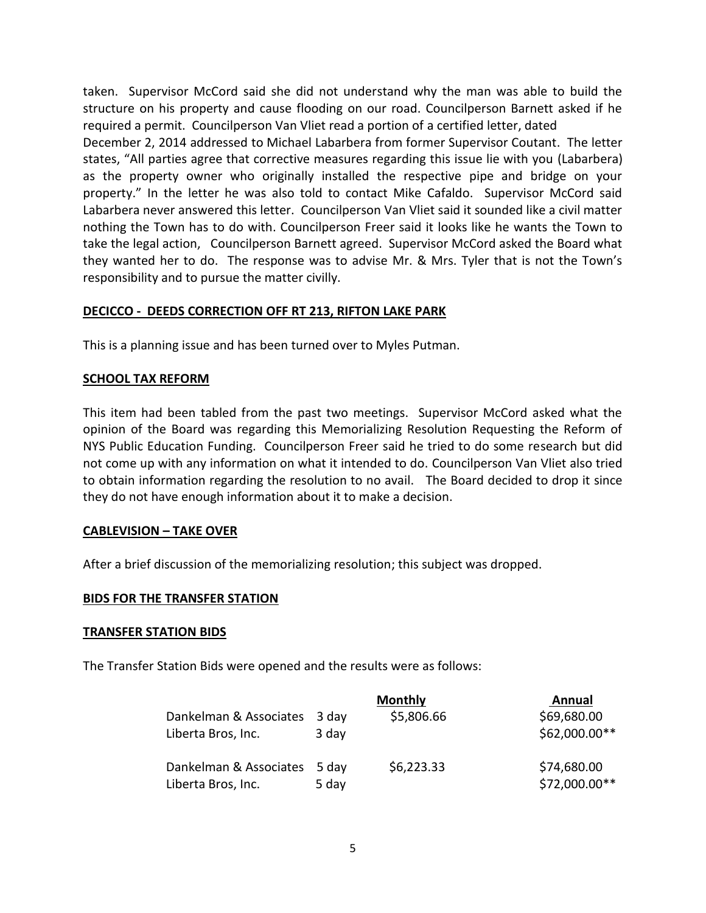taken. Supervisor McCord said she did not understand why the man was able to build the structure on his property and cause flooding on our road. Councilperson Barnett asked if he required a permit. Councilperson Van Vliet read a portion of a certified letter, dated

December 2, 2014 addressed to Michael Labarbera from former Supervisor Coutant. The letter states, "All parties agree that corrective measures regarding this issue lie with you (Labarbera) as the property owner who originally installed the respective pipe and bridge on your property." In the letter he was also told to contact Mike Cafaldo. Supervisor McCord said Labarbera never answered this letter. Councilperson Van Vliet said it sounded like a civil matter nothing the Town has to do with. Councilperson Freer said it looks like he wants the Town to take the legal action, Councilperson Barnett agreed. Supervisor McCord asked the Board what they wanted her to do. The response was to advise Mr. & Mrs. Tyler that is not the Town's responsibility and to pursue the matter civilly.

# **DECICCO - DEEDS CORRECTION OFF RT 213, RIFTON LAKE PARK**

This is a planning issue and has been turned over to Myles Putman.

### **SCHOOL TAX REFORM**

This item had been tabled from the past two meetings. Supervisor McCord asked what the opinion of the Board was regarding this Memorializing Resolution Requesting the Reform of NYS Public Education Funding. Councilperson Freer said he tried to do some research but did not come up with any information on what it intended to do. Councilperson Van Vliet also tried to obtain information regarding the resolution to no avail. The Board decided to drop it since they do not have enough information about it to make a decision.

### **CABLEVISION – TAKE OVER**

After a brief discussion of the memorializing resolution; this subject was dropped.

### **BIDS FOR THE TRANSFER STATION**

### **TRANSFER STATION BIDS**

The Transfer Station Bids were opened and the results were as follows:

|                                              |                | <b>Monthly</b> | Annual                       |
|----------------------------------------------|----------------|----------------|------------------------------|
| Dankelman & Associates                       | 3 day          | \$5,806.66     | \$69,680.00                  |
| Liberta Bros, Inc.                           | 3 day          |                | \$62,000.00**                |
| Dankelman & Associates<br>Liberta Bros, Inc. | 5 day<br>5 day | \$6,223.33     | \$74,680.00<br>\$72,000.00** |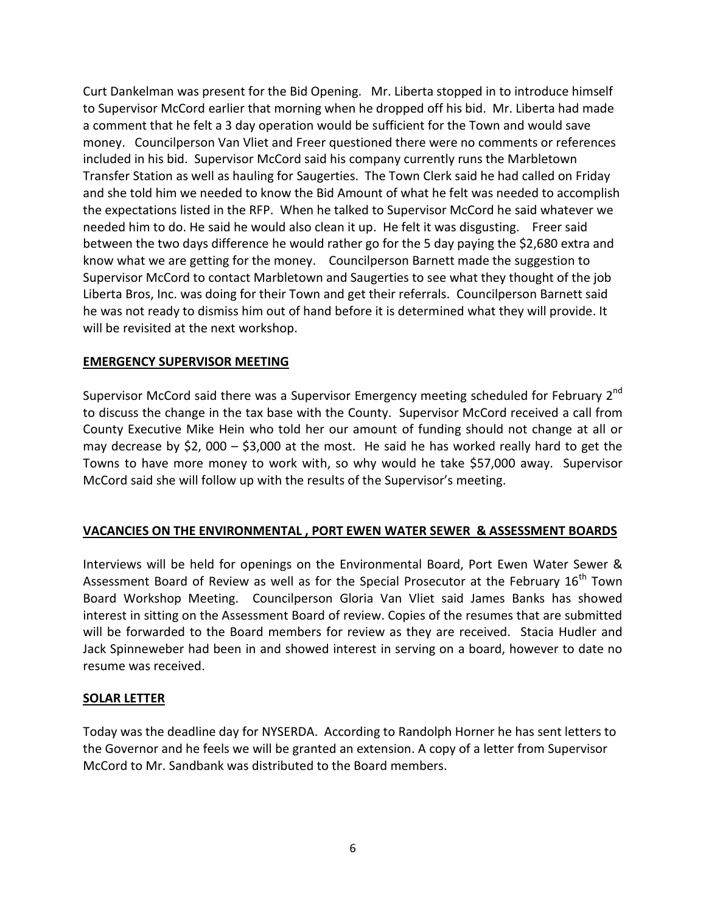Curt Dankelman was present for the Bid Opening. Mr. Liberta stopped in to introduce himself to Supervisor McCord earlier that morning when he dropped off his bid. Mr. Liberta had made a comment that he felt a 3 day operation would be sufficient for the Town and would save money. Councilperson Van Vliet and Freer questioned there were no comments or references included in his bid. Supervisor McCord said his company currently runs the Marbletown Transfer Station as well as hauling for Saugerties. The Town Clerk said he had called on Friday and she told him we needed to know the Bid Amount of what he felt was needed to accomplish the expectations listed in the RFP. When he talked to Supervisor McCord he said whatever we needed him to do. He said he would also clean it up. He felt it was disgusting. Freer said between the two days difference he would rather go for the 5 day paying the \$2,680 extra and know what we are getting for the money. Councilperson Barnett made the suggestion to Supervisor McCord to contact Marbletown and Saugerties to see what they thought of the job Liberta Bros, Inc. was doing for their Town and get their referrals. Councilperson Barnett said he was not ready to dismiss him out of hand before it is determined what they will provide. It will be revisited at the next workshop.

### **EMERGENCY SUPERVISOR MEETING**

Supervisor McCord said there was a Supervisor Emergency meeting scheduled for February 2<sup>nd</sup> to discuss the change in the tax base with the County. Supervisor McCord received a call from County Executive Mike Hein who told her our amount of funding should not change at all or may decrease by \$2, 000 – \$3,000 at the most. He said he has worked really hard to get the Towns to have more money to work with, so why would he take \$57,000 away. Supervisor McCord said she will follow up with the results of the Supervisor's meeting.

### **VACANCIES ON THE ENVIRONMENTAL , PORT EWEN WATER SEWER & ASSESSMENT BOARDS**

Interviews will be held for openings on the Environmental Board, Port Ewen Water Sewer & Assessment Board of Review as well as for the Special Prosecutor at the February 16<sup>th</sup> Town Board Workshop Meeting. Councilperson Gloria Van Vliet said James Banks has showed interest in sitting on the Assessment Board of review. Copies of the resumes that are submitted will be forwarded to the Board members for review as they are received. Stacia Hudler and Jack Spinneweber had been in and showed interest in serving on a board, however to date no resume was received.

### **SOLAR LETTER**

Today was the deadline day for NYSERDA. According to Randolph Horner he has sent letters to the Governor and he feels we will be granted an extension. A copy of a letter from Supervisor McCord to Mr. Sandbank was distributed to the Board members.